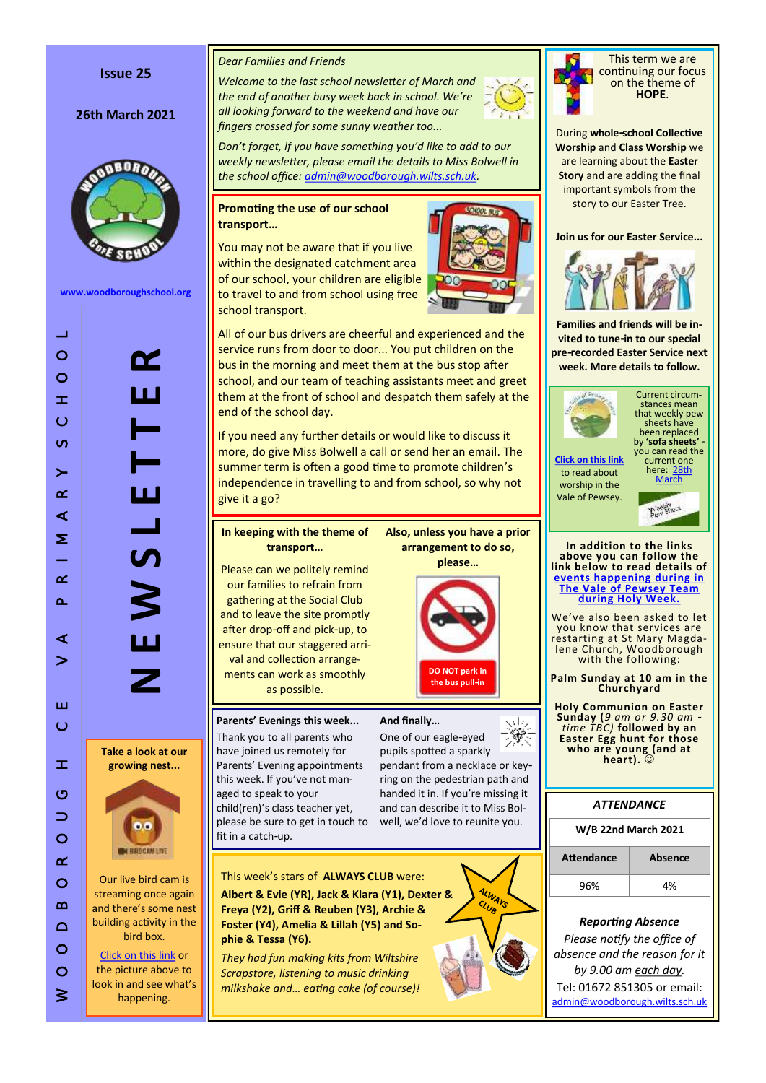#### **Issue 25**

#### **26th March 2021**



**[www.woodboroughschool.org](https://woodboroughschool.org/)**

**N E W S L E T T E R**  $\mathbf{H}$ 

**Take a look at our growing nest...**



Our live bird cam is streaming once again and there 's some nest building activity in the bird box.

[Click on this link](http://www.seenature.org.uk/schools/woodborough-ce-primary-school/) or the picture above to look in and see what 's happening.

#### *Dear Families and Friends*

*Welcome to the last school newsletter of March and the end of another busy week back in school. We 're all looking forward to the weekend and have our fingers crossed for some sunny weather too...*



*Don 't forget, if you have something you 'd like to add to our weekly newsletter, please email the details to Miss Bolwell in the school office: [admin@woodborough.wilts.sch.uk.](mailto:admin@woodborough.wilts.sch.uk)* 

#### **Promoting the use of our school transport …**

You may not be aware that if you live within the designated catchment area of our school, your children are eligible to travel to and from school using free school transport.



All of our bus drivers are cheerful and experienced and the service runs from door to door... You put children on the bus in the morning and meet them at the bus stop after school, and our team of teaching assistants meet and greet them at the front of school and despatch them safely at the end of the school day.

If you need any further details or would like to discuss it more, do give Miss Bolwell a call or send her an email. The summer term is often a good time to promote children 's independence in travelling to and from school, so why not give it a go?

#### **In keeping with the theme of transport …**

Please can we politely remind our families to refrain from gathering at the Social Club and to leave the site promptly after drop -off and pick -up, to ensure that our staggered arrival and collection arrangements can work as smoothly as possible.

# **Parents' Evenings this week...**

Thank you to all parents who have joined us remotely for Parents' Evening appointments this week. If you 've not managed to speak to your child(ren) 's class teacher yet, please be sure to get in touch to fit in a catch -up.

**phie & Tessa (Y6).**

This week 's stars of **ALWAYS CLUB** were: **Albert & Evie (YR), Jack & Klara (Y1), Dexter & Freya (Y2), Griff & Reuben (Y3), Archie & Foster (Y4), Amelia & Lillah (Y5) and So-**

*They had fun making kits from Wiltshire Scrapstore, listening to music drinking milkshake and… eating cake (of course)!*

**arrangement to do so, please …**

> **DO NOT park in the bus pull -in**

> > ssta.

ALWAYS

**Also, unless you have a prior** 



#### **And finally…**

۳ One of our eagle -eyed pupils spotted a sparkly pendant from a necklace or key ring on the pedestrian path and handed it in. If you 're missing it and can describe it to Miss Bolwell, we'd love to reunite you.



**W/B 22nd March 2021 Attendance Absence**  $96\%$   $4\%$ 

*Reporting Absence Please notify the office of absence and the reason for it by 9.00 am each day.*  Tel: 01672 851305 or email: [admin@woodborough.wilts.sch.uk](mailto:admin@woodborough.wilts.sch.uk)



This term we are continuing our focus on the theme of **HOPE** .

During **whole -school Collective Worship** and **Class Worship** we are learning about the **Easter Story** and are adding the final important symbols from the story to our Easter Tree.

#### **Join us for our Easter Service...**



**Families and friends will be invited to tune-in to our special pre -recorded Easter Service next week. More details to follow.**



stances mean that weekly pew sheets have been replaced by **'sofa sheets'**  - you can read the current one

Current circum-

**[Click on this link](https://www.valeofpewsey.org/)** to read about worship in the Vale of Pewsey.



**In addition to the links above you can follow the link below to read details of [events happening during in](https://woodboroughschool.org/wp-content/uploads/2021/03/Holy-Week-2021.pdf)  [The Vale of Pewsey Team](https://woodboroughschool.org/wp-content/uploads/2021/03/Holy-Week-2021.pdf)  [during Holy Week.](https://woodboroughschool.org/wp-content/uploads/2021/03/Holy-Week-2021.pdf)**

We 've also been asked to let you know that services are restarting at St Mary Magdalene Church, Woodborough with the following:

**Palm Sunday at 10 am in the Churchyard**

**Holy Communion on Easter Sunday (***9 am or 9.30 am time TBC)* **followed by an Easter Egg hunt for those who are young (and at heart).** 

*ATTENDANCE*